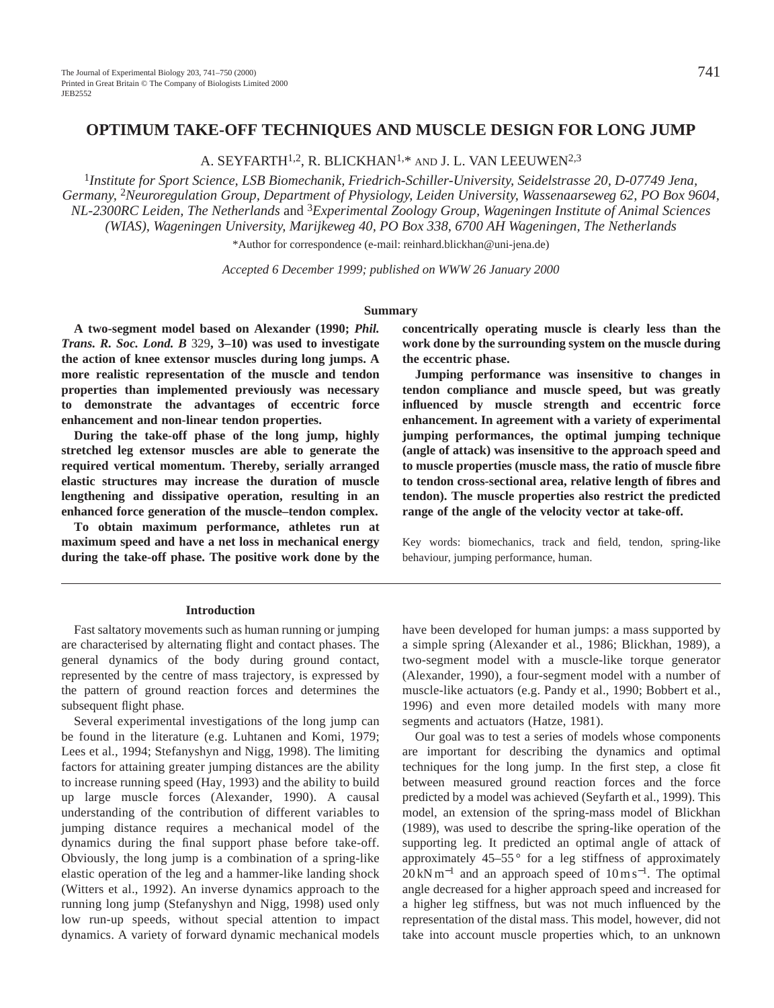# **OPTIMUM TAKE-OFF TECHNIQUES AND MUSCLE DESIGN FOR LONG JUMP**

A. SEYFARTH<sup>1,2</sup>, R. BLICKHAN<sup>1,\*</sup> AND J. L. VAN LEEUWEN<sup>2,3</sup>

<sup>1</sup>*Institute for Sport Science, LSB Biomechanik, Friedrich-Schiller-University, Seidelstrasse 20, D-07749 Jena, Germany,* 2*Neuroregulation Group, Department of Physiology, Leiden University, Wassenaarseweg 62, PO Box 9604, NL-2300RC Leiden, The Netherlands* and 3*Experimental Zoology Group, Wageningen Institute of Animal Sciences (WIAS), Wageningen University, Marijkeweg 40, PO Box 338, 6700 AH Wageningen, The Netherlands*

\*Author for correspondence (e-mail: reinhard.blickhan@uni-jena.de)

*Accepted 6 December 1999; published on WWW 26 January 2000*

#### **Summary**

**A two-segment model based on Alexander (1990;** *Phil. Trans. R. Soc. Lond. B* 329**, 3–10) was used to investigate the action of knee extensor muscles during long jumps. A more realistic representation of the muscle and tendon properties than implemented previously was necessary to demonstrate the advantages of eccentric force enhancement and non-linear tendon properties.**

**During the take-off phase of the long jump, highly stretched leg extensor muscles are able to generate the required vertical momentum. Thereby, serially arranged elastic structures may increase the duration of muscle lengthening and dissipative operation, resulting in an enhanced force generation of the muscle–tendon complex.**

**To obtain maximum performance, athletes run at maximum speed and have a net loss in mechanical energy during the take-off phase. The positive work done by the** **concentrically operating muscle is clearly less than the work done by the surrounding system on the muscle during the eccentric phase.**

**Jumping performance was insensitive to changes in tendon compliance and muscle speed, but was greatly influenced by muscle strength and eccentric force enhancement. In agreement with a variety of experimental jumping performances, the optimal jumping technique (angle of attack) was insensitive to the approach speed and to muscle properties (muscle mass, the ratio of muscle fibre to tendon cross-sectional area, relative length of fibres and tendon). The muscle properties also restrict the predicted range of the angle of the velocity vector at take-off.**

Key words: biomechanics, track and field, tendon, spring-like behaviour, jumping performance, human.

#### **Introduction**

Fast saltatory movements such as human running or jumping are characterised by alternating flight and contact phases. The general dynamics of the body during ground contact, represented by the centre of mass trajectory, is expressed by the pattern of ground reaction forces and determines the subsequent flight phase.

Several experimental investigations of the long jump can be found in the literature (e.g. Luhtanen and Komi, 1979; Lees et al., 1994; Stefanyshyn and Nigg, 1998). The limiting factors for attaining greater jumping distances are the ability to increase running speed (Hay, 1993) and the ability to build up large muscle forces (Alexander, 1990). A causal understanding of the contribution of different variables to jumping distance requires a mechanical model of the dynamics during the final support phase before take-off. Obviously, the long jump is a combination of a spring-like elastic operation of the leg and a hammer-like landing shock (Witters et al., 1992). An inverse dynamics approach to the running long jump (Stefanyshyn and Nigg, 1998) used only low run-up speeds, without special attention to impact dynamics. A variety of forward dynamic mechanical models have been developed for human jumps: a mass supported by a simple spring (Alexander et al., 1986; Blickhan, 1989), a two-segment model with a muscle-like torque generator (Alexander, 1990), a four-segment model with a number of muscle-like actuators (e.g. Pandy et al., 1990; Bobbert et al., 1996) and even more detailed models with many more segments and actuators (Hatze, 1981).

Our goal was to test a series of models whose components are important for describing the dynamics and optimal techniques for the long jump. In the first step, a close fit between measured ground reaction forces and the force predicted by a model was achieved (Seyfarth et al., 1999). This model, an extension of the spring-mass model of Blickhan (1989), was used to describe the spring-like operation of the supporting leg. It predicted an optimal angle of attack of approximately  $45-55$ ° for a leg stiffness of approximately  $20 \text{ kN m}^{-1}$  and an approach speed of  $10 \text{ m s}^{-1}$ . The optimal angle decreased for a higher approach speed and increased for a higher leg stiffness, but was not much influenced by the representation of the distal mass. This model, however, did not take into account muscle properties which, to an unknown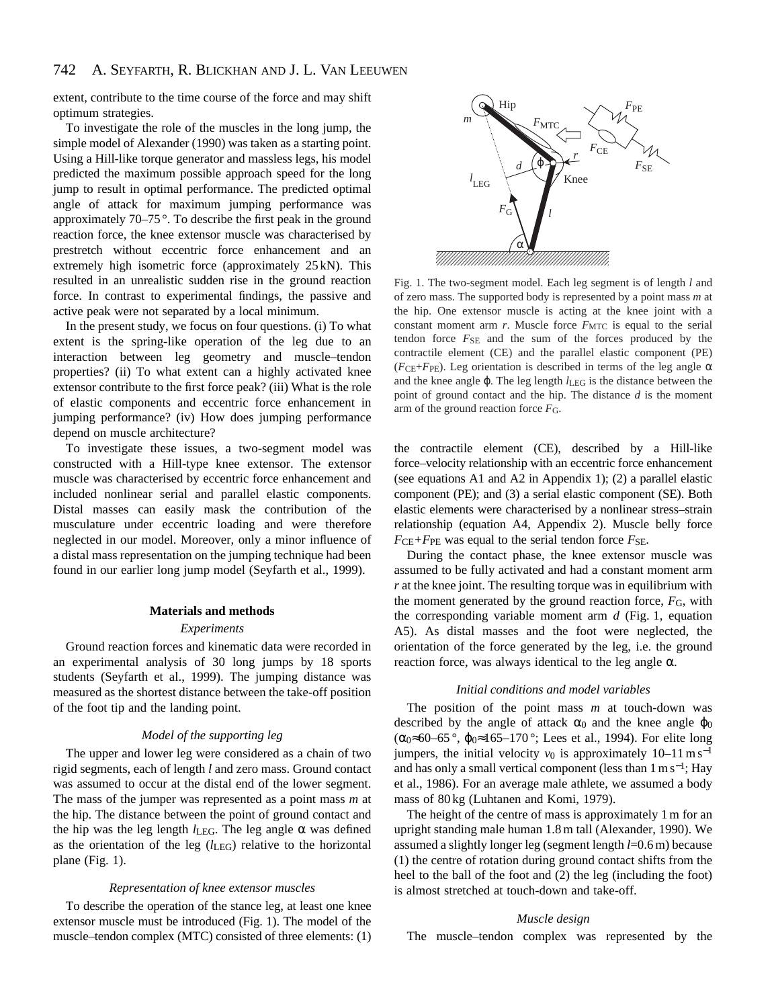extent, contribute to the time course of the force and may shift optimum strategies.

To investigate the role of the muscles in the long jump, the simple model of Alexander (1990) was taken as a starting point. Using a Hill-like torque generator and massless legs, his model predicted the maximum possible approach speed for the long jump to result in optimal performance. The predicted optimal angle of attack for maximum jumping performance was approximately 70–75 °. To describe the first peak in the ground reaction force, the knee extensor muscle was characterised by prestretch without eccentric force enhancement and an extremely high isometric force (approximately 25 kN). This resulted in an unrealistic sudden rise in the ground reaction force. In contrast to experimental findings, the passive and active peak were not separated by a local minimum.

In the present study, we focus on four questions. (i) To what extent is the spring-like operation of the leg due to an interaction between leg geometry and muscle–tendon properties? (ii) To what extent can a highly activated knee extensor contribute to the first force peak? (iii) What is the role of elastic components and eccentric force enhancement in jumping performance? (iv) How does jumping performance depend on muscle architecture?

To investigate these issues, a two-segment model was constructed with a Hill-type knee extensor. The extensor muscle was characterised by eccentric force enhancement and included nonlinear serial and parallel elastic components. Distal masses can easily mask the contribution of the musculature under eccentric loading and were therefore neglected in our model. Moreover, only a minor influence of a distal mass representation on the jumping technique had been found in our earlier long jump model (Seyfarth et al., 1999).

## **Materials and methods**

#### *Experiments*

Ground reaction forces and kinematic data were recorded in an experimental analysis of 30 long jumps by 18 sports students (Seyfarth et al., 1999). The jumping distance was measured as the shortest distance between the take-off position of the foot tip and the landing point.

#### *Model of the supporting leg*

The upper and lower leg were considered as a chain of two rigid segments, each of length *l* and zero mass. Ground contact was assumed to occur at the distal end of the lower segment. The mass of the jumper was represented as a point mass *m* at the hip. The distance between the point of ground contact and the hip was the leg length  $l_{LEG}$ . The leg angle  $\alpha$  was defined as the orientation of the leg (*l*LEG) relative to the horizontal plane (Fig. 1).

#### *Representation of knee extensor muscles*

To describe the operation of the stance leg, at least one knee extensor muscle must be introduced (Fig. 1). The model of the muscle–tendon complex (MTC) consisted of three elements: (1)



Fig. 1. The two-segment model. Each leg segment is of length *l* and of zero mass. The supported body is represented by a point mass *m* at the hip. One extensor muscle is acting at the knee joint with a constant moment arm *r*. Muscle force  $F_{\text{MTC}}$  is equal to the serial tendon force *F*SE and the sum of the forces produced by the contractile element (CE) and the parallel elastic component (PE) ( $F_{\text{CE}}+F_{\text{PE}}$ ). Leg orientation is described in terms of the leg angle  $\alpha$ and the knee angle ϕ. The leg length *l*LEG is the distance between the point of ground contact and the hip. The distance *d* is the moment arm of the ground reaction force *F*G.

the contractile element (CE), described by a Hill-like force–velocity relationship with an eccentric force enhancement (see equations A1 and A2 in Appendix 1); (2) a parallel elastic component (PE); and (3) a serial elastic component (SE). Both elastic elements were characterised by a nonlinear stress–strain relationship (equation A4, Appendix 2). Muscle belly force  $F_{\text{CE}}+F_{\text{PE}}$  was equal to the serial tendon force  $F_{\text{SE}}$ .

During the contact phase, the knee extensor muscle was assumed to be fully activated and had a constant moment arm *r* at the knee joint. The resulting torque was in equilibrium with the moment generated by the ground reaction force,  $F<sub>G</sub>$ , with the corresponding variable moment arm *d* (Fig. 1, equation A5). As distal masses and the foot were neglected, the orientation of the force generated by the leg, i.e. the ground reaction force, was always identical to the leg angle  $\alpha$ .

### *Initial conditions and model variables*

The position of the point mass *m* at touch-down was described by the angle of attack  $\alpha_0$  and the knee angle  $\varphi_0$  $(\alpha_0 \approx 60 - 65^\circ, \ \varphi_0 \approx 165 - 170^\circ;$  Lees et al., 1994). For elite long jumpers, the initial velocity  $v_0$  is approximately 10–11 m s<sup>-1</sup> and has only a small vertical component (less than 1 m s<sup>−</sup>1; Hay et al., 1986). For an average male athlete, we assumed a body mass of 80 kg (Luhtanen and Komi, 1979).

The height of the centre of mass is approximately 1 m for an upright standing male human 1.8 m tall (Alexander, 1990). We assumed a slightly longer leg (segment length *l*=0.6 m) because (1) the centre of rotation during ground contact shifts from the heel to the ball of the foot and (2) the leg (including the foot) is almost stretched at touch-down and take-off.

#### *Muscle design*

The muscle–tendon complex was represented by the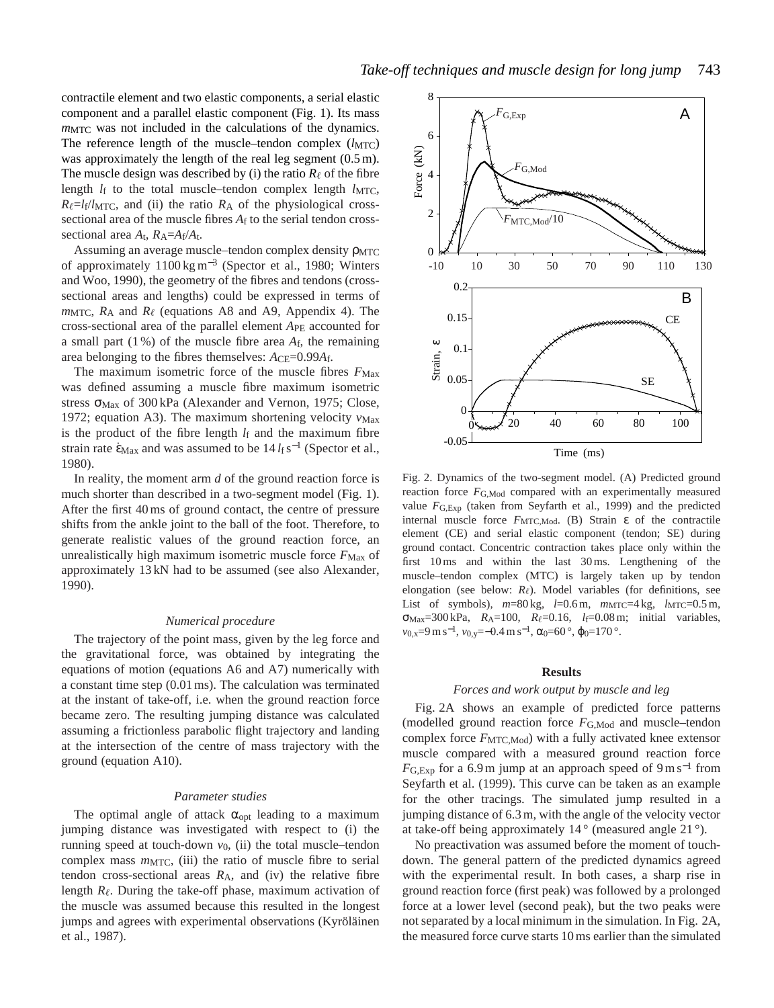contractile element and two elastic components, a serial elastic component and a parallel elastic component (Fig. 1). Its mass *m*MTC was not included in the calculations of the dynamics. The reference length of the muscle–tendon complex  $(l_{\text{MTC}})$ was approximately the length of the real leg segment  $(0.5 \text{ m})$ . The muscle design was described by (i) the ratio  $R_\ell$  of the fibre length  $l_f$  to the total muscle–tendon complex length  $l_{\text{MTC}}$ ,  $R_{\ell} = l_f/l_{\text{MTC}}$ , and (ii) the ratio  $R_A$  of the physiological crosssectional area of the muscle fibres  $A_f$  to the serial tendon crosssectional area  $A_t$ ,  $R_A = A_f/A_t$ .

Assuming an average muscle-tendon complex density  $ρ_{MTC}$ of approximately 1100 kg m−<sup>3</sup> (Spector et al., 1980; Winters and Woo, 1990), the geometry of the fibres and tendons (crosssectional areas and lengths) could be expressed in terms of  $m_{\text{MTC}}$ ,  $R_A$  and  $R_\ell$  (equations A8 and A9, Appendix 4). The cross-sectional area of the parallel element *A*PE accounted for a small part (1 %) of the muscle fibre area *A*f, the remaining area belonging to the fibres themselves:  $A_{\text{CE}}=0.99A_{\text{f}}$ .

The maximum isometric force of the muscle fibres  $F_{\text{Max}}$ was defined assuming a muscle fibre maximum isometric stress σ<sub>Max</sub> of 300 kPa (Alexander and Vernon, 1975; Close, 1972; equation A3). The maximum shortening velocity  $v_{\text{Max}}$ is the product of the fibre length  $l_f$  and the maximum fibre strain rate  $\dot{\epsilon}_{\text{Max}}$  and was assumed to be  $14 \, l_f \, s^{-1}$  (Spector et al., 1980).

In reality, the moment arm *d* of the ground reaction force is much shorter than described in a two-segment model (Fig. 1). After the first 40 ms of ground contact, the centre of pressure shifts from the ankle joint to the ball of the foot. Therefore, to generate realistic values of the ground reaction force, an unrealistically high maximum isometric muscle force  $F_{\text{Max}}$  of approximately 13 kN had to be assumed (see also Alexander, 1990).

#### *Numerical procedure*

The trajectory of the point mass, given by the leg force and the gravitational force, was obtained by integrating the equations of motion (equations A6 and A7) numerically with a constant time step (0.01 ms). The calculation was terminated at the instant of take-off, i.e. when the ground reaction force became zero. The resulting jumping distance was calculated assuming a frictionless parabolic flight trajectory and landing at the intersection of the centre of mass trajectory with the ground (equation A10).

## *Parameter studies*

The optimal angle of attack  $\alpha_{opt}$  leading to a maximum jumping distance was investigated with respect to (i) the running speed at touch-down *v*0, (ii) the total muscle–tendon complex mass  $m$ <sub>MTC</sub>, (iii) the ratio of muscle fibre to serial tendon cross-sectional areas *R*A, and (iv) the relative fibre length  $R_{\ell}$ . During the take-off phase, maximum activation of the muscle was assumed because this resulted in the longest jumps and agrees with experimental observations (Kyröläinen et al., 1987).



Fig. 2. Dynamics of the two-segment model. (A) Predicted ground reaction force *F*G,Mod compared with an experimentally measured value  $F_{\text{G-Exn}}$  (taken from Seyfarth et al., 1999) and the predicted internal muscle force  $F_{\text{MTC,Mod}}$ . (B) Strain  $\varepsilon$  of the contractile element (CE) and serial elastic component (tendon; SE) during ground contact. Concentric contraction takes place only within the first 10 ms and within the last 30 ms. Lengthening of the muscle–tendon complex (MTC) is largely taken up by tendon elongation (see below:  $R_{\ell}$ ). Model variables (for definitions, see List of symbols),  $m=80 \text{ kg}$ ,  $l=0.6 \text{ m}$ ,  $m_{\text{MTC}}=4 \text{ kg}$ ,  $l_{\text{MTC}}=0.5 \text{ m}$ , σMax=300 kPa, *R*A=100, *R*,=0.16, *l*f=0.08 m; initial variables, *v*<sub>0,x</sub>=9 m s<sup>-1</sup>, *v*<sub>0,y</sub>=−0.4 m s<sup>-1</sup>, α<sub>0</sub>=60<sup>°</sup>, φ<sub>0</sub>=170<sup>°</sup>.

#### **Results**

### *Forces and work output by muscle and leg*

Fig. 2A shows an example of predicted force patterns (modelled ground reaction force *F*G,Mod and muscle–tendon complex force  $F_{\text{MTC,Mod}}$ ) with a fully activated knee extensor muscle compared with a measured ground reaction force  $F_{\text{G,Exp}}$  for a 6.9 m jump at an approach speed of 9 m s<sup>-1</sup> from Seyfarth et al. (1999). This curve can be taken as an example for the other tracings. The simulated jump resulted in a jumping distance of 6.3 m, with the angle of the velocity vector at take-off being approximately  $14^{\circ}$  (measured angle  $21^{\circ}$ ).

No preactivation was assumed before the moment of touchdown. The general pattern of the predicted dynamics agreed with the experimental result. In both cases, a sharp rise in ground reaction force (first peak) was followed by a prolonged force at a lower level (second peak), but the two peaks were not separated by a local minimum in the simulation. In Fig. 2A, the measured force curve starts 10 ms earlier than the simulated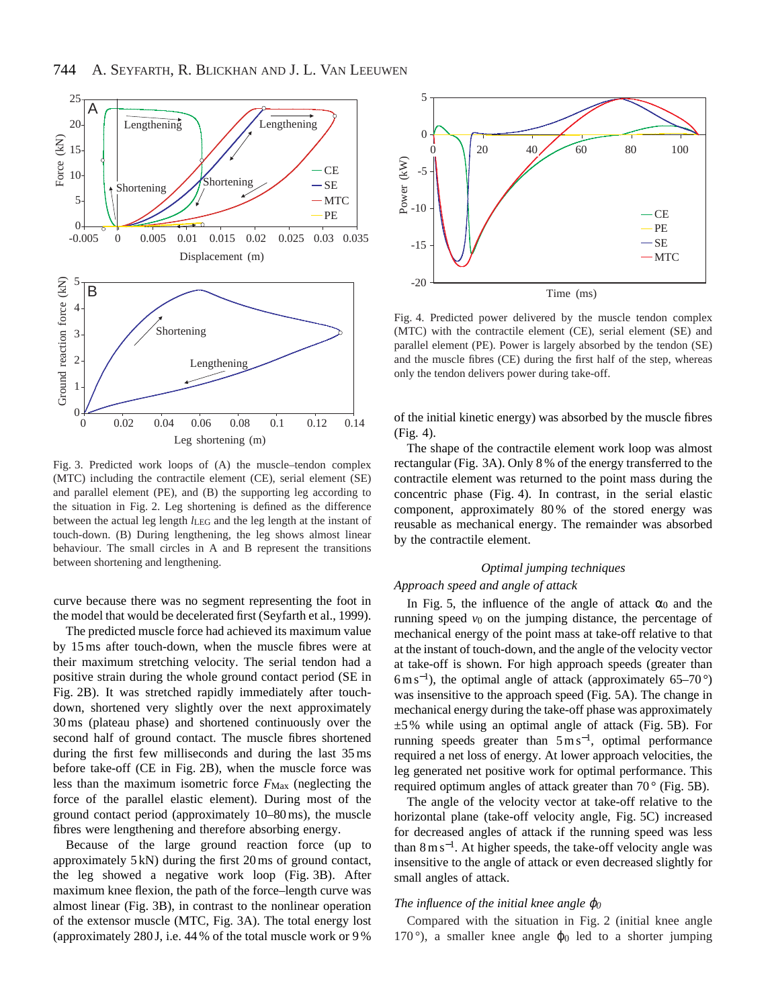

Fig. 3. Predicted work loops of (A) the muscle–tendon complex (MTC) including the contractile element (CE), serial element (SE) and parallel element (PE), and (B) the supporting leg according to the situation in Fig. 2. Leg shortening is defined as the difference between the actual leg length *l*<sub>LEG</sub> and the leg length at the instant of touch-down. (B) During lengthening, the leg shows almost linear behaviour. The small circles in A and B represent the transitions between shortening and lengthening.

curve because there was no segment representing the foot in the model that would be decelerated first (Seyfarth et al., 1999).

The predicted muscle force had achieved its maximum value by 15 ms after touch-down, when the muscle fibres were at their maximum stretching velocity. The serial tendon had a positive strain during the whole ground contact period (SE in Fig. 2B). It was stretched rapidly immediately after touchdown, shortened very slightly over the next approximately 30 ms (plateau phase) and shortened continuously over the second half of ground contact. The muscle fibres shortened during the first few milliseconds and during the last 35 ms before take-off (CE in Fig. 2B), when the muscle force was less than the maximum isometric force  $F_{\text{Max}}$  (neglecting the force of the parallel elastic element). During most of the ground contact period (approximately 10–80 ms), the muscle fibres were lengthening and therefore absorbing energy.

Because of the large ground reaction force (up to approximately 5 kN) during the first 20 ms of ground contact, the leg showed a negative work loop (Fig. 3B). After maximum knee flexion, the path of the force–length curve was almost linear (Fig. 3B), in contrast to the nonlinear operation of the extensor muscle (MTC, Fig. 3A). The total energy lost (approximately 280 J, i.e. 44 % of the total muscle work or 9 %



Fig. 4. Predicted power delivered by the muscle tendon complex (MTC) with the contractile element (CE), serial element (SE) and parallel element (PE). Power is largely absorbed by the tendon (SE) and the muscle fibres (CE) during the first half of the step, whereas only the tendon delivers power during take-off.

of the initial kinetic energy) was absorbed by the muscle fibres (Fig. 4).

The shape of the contractile element work loop was almost rectangular (Fig. 3A). Only 8 % of the energy transferred to the contractile element was returned to the point mass during the concentric phase (Fig. 4). In contrast, in the serial elastic component, approximately 80 % of the stored energy was reusable as mechanical energy. The remainder was absorbed by the contractile element.

# *Optimal jumping techniques*

## *Approach speed and angle of attack*

In Fig. 5, the influence of the angle of attack  $\alpha_0$  and the running speed *v*0 on the jumping distance, the percentage of mechanical energy of the point mass at take-off relative to that at the instant of touch-down, and the angle of the velocity vector at take-off is shown. For high approach speeds (greater than  $6 \text{ m s}^{-1}$ ), the optimal angle of attack (approximately 65–70 $^{\circ}$ ) was insensitive to the approach speed (Fig. 5A). The change in mechanical energy during the take-off phase was approximately  $\pm$ 5% while using an optimal angle of attack (Fig. 5B). For running speeds greater than  $5 \text{ m s}^{-1}$ , optimal performance required a net loss of energy. At lower approach velocities, the leg generated net positive work for optimal performance. This required optimum angles of attack greater than 70° (Fig. 5B).

The angle of the velocity vector at take-off relative to the horizontal plane (take-off velocity angle, Fig. 5C) increased for decreased angles of attack if the running speed was less than  $8 \text{ m s}^{-1}$ . At higher speeds, the take-off velocity angle was insensitive to the angle of attack or even decreased slightly for small angles of attack.

## *The influence of the initial knee angle* ϕ*0*

Compared with the situation in Fig. 2 (initial knee angle 170 $\degree$ ), a smaller knee angle  $\varphi_0$  led to a shorter jumping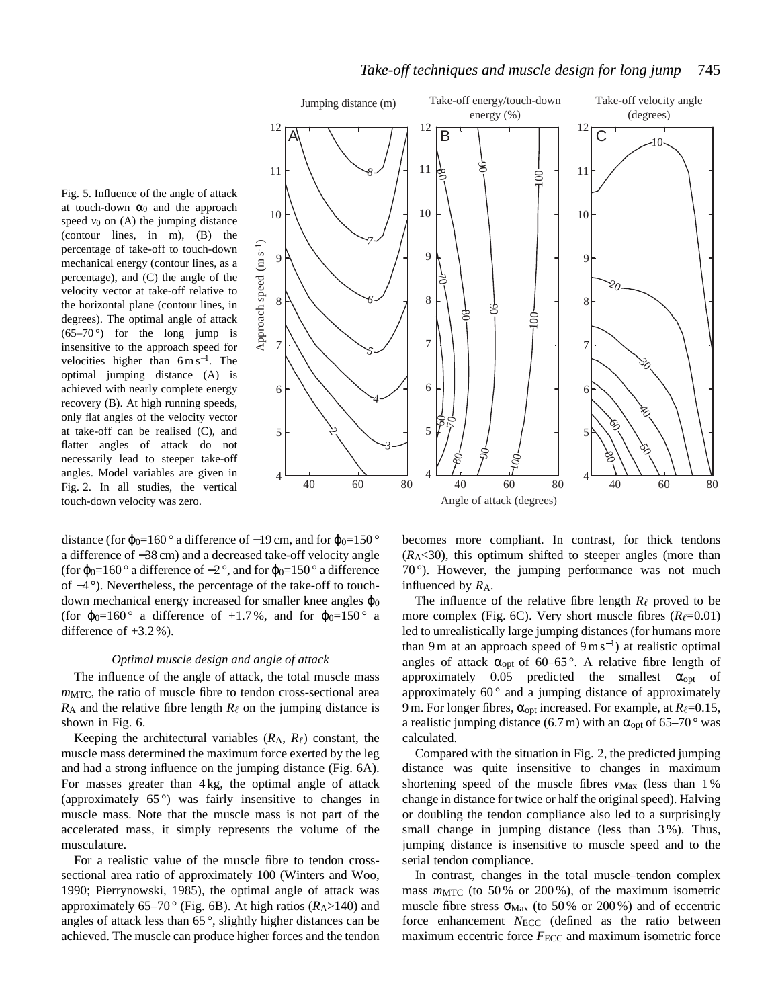

Fig. 5. Influence of the angle of attack at touch-down  $\alpha_0$  and the approach speed  $v_0$  on (A) the jumping distance (contour lines, in m), (B) the percentage of take-off to touch-down mechanical energy (contour lines, as a percentage), and (C) the angle of the velocity vector at take-off relative to the horizontal plane (contour lines, in degrees). The optimal angle of attack  $(65-70)$  for the long jump is insensitive to the approach speed for velocities higher than  $6 \text{ m s}^{-1}$ . The optimal jumping distance (A) is achieved with nearly complete energy recovery (B). At high running speeds, only flat angles of the velocity vector at take-off can be realised (C), and flatter angles of attack do not necessarily lead to steeper take-off angles. Model variables are given in Fig. 2. In all studies, the vertical touch-down velocity was zero.

12 A 11 100 100 10 7 Approach speed (m s<sup>-1</sup>) Approach speed (m s-1) 9 9 9 さ 20 8 8 6 8 8  $\begin{picture}(180,170) \put(0,0){\line(1,0){100}} \put(15,0){\line(1,0){100}} \put(15,0){\line(1,0){100}} \put(15,0){\line(1,0){100}} \put(15,0){\line(1,0){100}} \put(15,0){\line(1,0){100}} \put(15,0){\line(1,0){100}} \put(15,0){\line(1,0){100}} \put(15,0){\line(1,0){100}} \put(15,0){\line(1,0){100}} \put(15,0){\line(1,0){100$  $100<sup>1</sup>$ 7 7 7 5  $\mathcal{S}_{\mathcal{O}_{\mathcal{C}}}$ 6 6 6 4  $\breve{\mathscr{E}}$ 60 70 જે 5 5 5 5. 3 উ 90 જી 100 4 4 4 40 60 80 40 60 80 40 60 80

Angle of attack (degrees)

distance (for  $\varphi_0=160^\circ$  a difference of -19 cm, and for  $\varphi_0=150^\circ$ a difference of −38 cm) and a decreased take-off velocity angle (for  $\phi_0=160^\circ$  a difference of  $-2^\circ$ , and for  $\phi_0=150^\circ$  a difference of −4 °). Nevertheless, the percentage of the take-off to touchdown mechanical energy increased for smaller knee angles  $\varphi_0$ (for  $\varphi_0=160^\circ$  a difference of +1.7%, and for  $\varphi_0=150^\circ$  a difference of  $+3.2\%$ ).

## *Optimal muscle design and angle of attack*

The influence of the angle of attack, the total muscle mass *m*<sub>MTC</sub>, the ratio of muscle fibre to tendon cross-sectional area  $R_A$  and the relative fibre length  $R_\ell$  on the jumping distance is shown in Fig. 6.

Keeping the architectural variables  $(R_A, R_f)$  constant, the muscle mass determined the maximum force exerted by the leg and had a strong influence on the jumping distance (Fig. 6A). For masses greater than 4 kg, the optimal angle of attack (approximately  $65^{\circ}$ ) was fairly insensitive to changes in muscle mass. Note that the muscle mass is not part of the accelerated mass, it simply represents the volume of the musculature.

For a realistic value of the muscle fibre to tendon crosssectional area ratio of approximately 100 (Winters and Woo, 1990; Pierrynowski, 1985), the optimal angle of attack was approximately 65–70 $^{\circ}$  (Fig. 6B). At high ratios ( $R_A$ >140) and angles of attack less than 65 °, slightly higher distances can be achieved. The muscle can produce higher forces and the tendon becomes more compliant. In contrast, for thick tendons  $(R_A < 30)$ , this optimum shifted to steeper angles (more than 70 °). However, the jumping performance was not much influenced by  $R_A$ .

The influence of the relative fibre length  $R_{\ell}$  proved to be more complex (Fig. 6C). Very short muscle fibres  $(R_{\ell}=0.01)$ led to unrealistically large jumping distances (for humans more than 9 m at an approach speed of  $9 \text{ m s}^{-1}$ ) at realistic optimal angles of attack  $\alpha_{opt}$  of 60–65°. A relative fibre length of approximately  $0.05$  predicted the smallest  $\alpha_{opt}$  of approximately  $60^\circ$  and a jumping distance of approximately 9 m. For longer fibres,  $\alpha_{opt}$  increased. For example, at  $R_{\ell}=0.15$ , a realistic jumping distance (6.7 m) with an  $\alpha_{opt}$  of 65–70° was calculated.

Compared with the situation in Fig. 2, the predicted jumping distance was quite insensitive to changes in maximum shortening speed of the muscle fibres  $v_{\text{Max}}$  (less than 1%) change in distance for twice or half the original speed). Halving or doubling the tendon compliance also led to a surprisingly small change in jumping distance (less than 3%). Thus, jumping distance is insensitive to muscle speed and to the serial tendon compliance.

In contrast, changes in the total muscle–tendon complex mass  $m_{\text{MTC}}$  (to 50% or 200%), of the maximum isometric muscle fibre stress  $\sigma_{\text{Max}}$  (to 50% or 200%) and of eccentric force enhancement *N*<sub>ECC</sub> (defined as the ratio between maximum eccentric force *F*<sub>ECC</sub> and maximum isometric force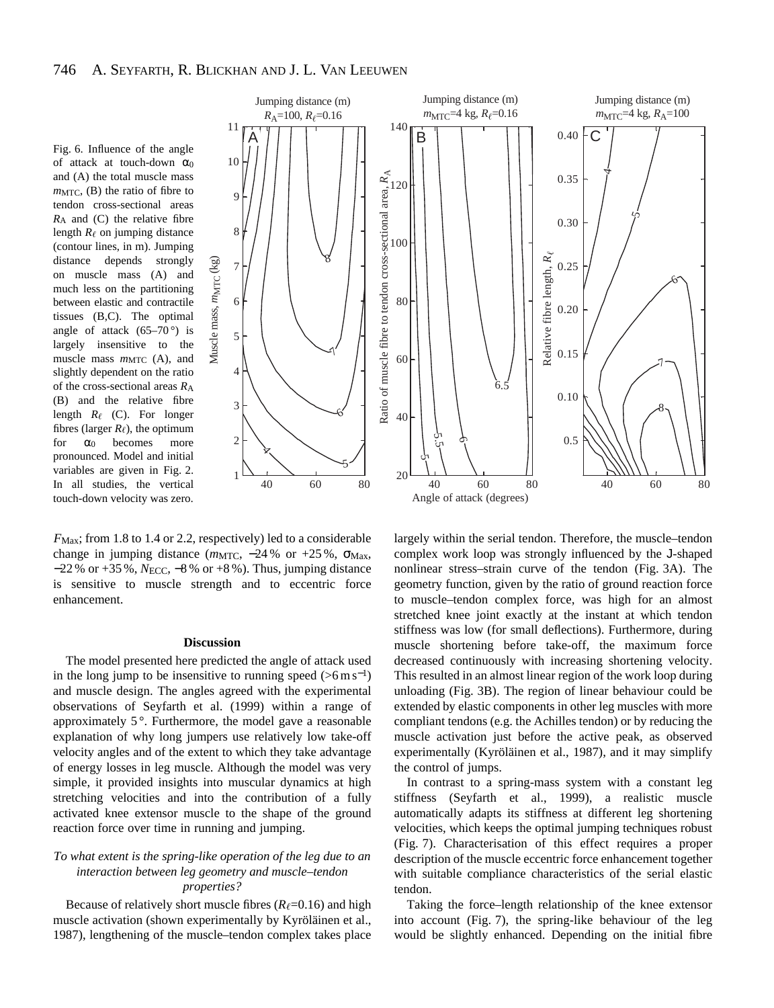Fig. 6. Influence of the angle of attack at touch-down  $\alpha_0$ and (A) the total muscle mass  $m<sub>MTC</sub>$ , (B) the ratio of fibre to tendon cross-sectional areas *R*A and (C) the relative fibre length  $R_{\ell}$  on jumping distance (contour lines, in m). Jumping distance depends strongly on muscle mass (A) and much less on the partitioning between elastic and contractile tissues (B,C). The optimal angle of attack  $(65-70)$  is largely insensitive to the muscle mass  $m_{\text{MTC}}$  (A), and slightly dependent on the ratio of the cross-sectional areas *R*A (B) and the relative fibre length  $R_{\ell}$  (C). For longer fibres (larger  $R_{\ell}$ ), the optimum for  $\alpha_0$  becomes more pronounced. Model and initial variables are given in Fig. 2. In all studies, the vertical touch-down velocity was zero.



*F*<sub>Max</sub>; from 1.8 to 1.4 or 2.2, respectively) led to a considerable change in jumping distance (*m*MTC, −24 % or +25 %, σ<sub>Max</sub>, −22 % or +35 %, *N*ECC, −8 % or +8 %). Thus, jumping distance is sensitive to muscle strength and to eccentric force enhancement.

Muscle mass, Muscle mass,  $m_{\text{MTC}}$  (kg)

#### **Discussion**

The model presented here predicted the angle of attack used in the long jump to be insensitive to running speed  $(>6 \,\mathrm{m\,s^{-1}})$ and muscle design. The angles agreed with the experimental observations of Seyfarth et al. (1999) within a range of approximately  $5^\circ$ . Furthermore, the model gave a reasonable explanation of why long jumpers use relatively low take-off velocity angles and of the extent to which they take advantage of energy losses in leg muscle. Although the model was very simple, it provided insights into muscular dynamics at high stretching velocities and into the contribution of a fully activated knee extensor muscle to the shape of the ground reaction force over time in running and jumping.

# *To what extent is the spring-like operation of the leg due to an interaction between leg geometry and muscle–tendon properties?*

Because of relatively short muscle fibres  $(R_\ell=0.16)$  and high muscle activation (shown experimentally by Kyröläinen et al., 1987), lengthening of the muscle–tendon complex takes place

largely within the serial tendon. Therefore, the muscle–tendon complex work loop was strongly influenced by the J-shaped nonlinear stress–strain curve of the tendon (Fig. 3A). The geometry function, given by the ratio of ground reaction force to muscle–tendon complex force, was high for an almost stretched knee joint exactly at the instant at which tendon stiffness was low (for small deflections). Furthermore, during muscle shortening before take-off, the maximum force decreased continuously with increasing shortening velocity. This resulted in an almost linear region of the work loop during unloading (Fig. 3B). The region of linear behaviour could be extended by elastic components in other leg muscles with more compliant tendons (e.g. the Achilles tendon) or by reducing the muscle activation just before the active peak, as observed experimentally (Kyröläinen et al., 1987), and it may simplify the control of jumps.

In contrast to a spring-mass system with a constant leg stiffness (Seyfarth et al., 1999), a realistic muscle automatically adapts its stiffness at different leg shortening velocities, which keeps the optimal jumping techniques robust (Fig. 7). Characterisation of this effect requires a proper description of the muscle eccentric force enhancement together with suitable compliance characteristics of the serial elastic tendon.

Taking the force–length relationship of the knee extensor into account (Fig. 7), the spring-like behaviour of the leg would be slightly enhanced. Depending on the initial fibre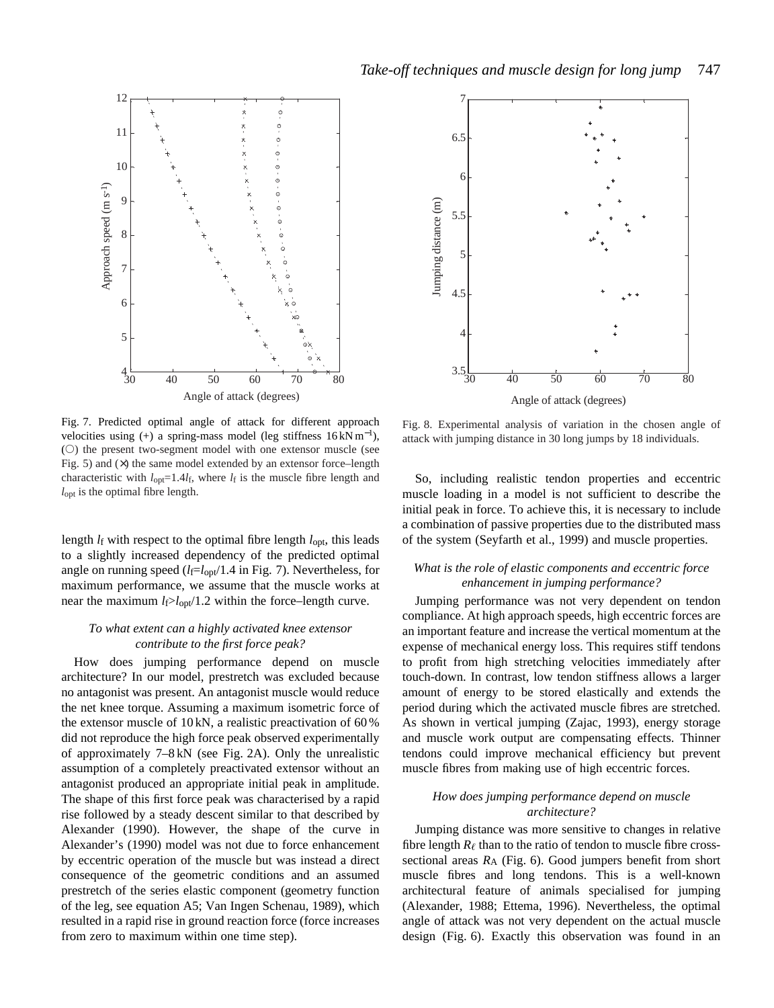



Fig. 7. Predicted optimal angle of attack for different approach velocities using (+) a spring-mass model (leg stiffness  $16 \text{ kNm}^{-1}$ ),  $($ 0) the present two-segment model with one extensor muscle (see Fig. 5) and  $(x)$  the same model extended by an extensor force–length characteristic with  $l_{opt}$ =1.4 $l_f$ , where  $l_f$  is the muscle fibre length and *l*<sub>opt</sub> is the optimal fibre length.

length *l*<sub>f</sub> with respect to the optimal fibre length *l*<sub>opt</sub>, this leads to a slightly increased dependency of the predicted optimal angle on running speed  $(l_f=l_{opt}/1.4$  in Fig. 7). Nevertheless, for maximum performance, we assume that the muscle works at near the maximum  $l_f > l_{opt}/1.2$  within the force–length curve.

# *To what extent can a highly activated knee extensor contribute to the first force peak?*

How does jumping performance depend on muscle architecture? In our model, prestretch was excluded because no antagonist was present. An antagonist muscle would reduce the net knee torque. Assuming a maximum isometric force of the extensor muscle of 10 kN, a realistic preactivation of 60 % did not reproduce the high force peak observed experimentally of approximately 7–8 kN (see Fig. 2A). Only the unrealistic assumption of a completely preactivated extensor without an antagonist produced an appropriate initial peak in amplitude. The shape of this first force peak was characterised by a rapid rise followed by a steady descent similar to that described by Alexander (1990). However, the shape of the curve in Alexander's (1990) model was not due to force enhancement by eccentric operation of the muscle but was instead a direct consequence of the geometric conditions and an assumed prestretch of the series elastic component (geometry function of the leg, see equation A5; Van Ingen Schenau, 1989), which resulted in a rapid rise in ground reaction force (force increases from zero to maximum within one time step).

Fig. 8. Experimental analysis of variation in the chosen angle of attack with jumping distance in 30 long jumps by 18 individuals.

So, including realistic tendon properties and eccentric muscle loading in a model is not sufficient to describe the initial peak in force. To achieve this, it is necessary to include a combination of passive properties due to the distributed mass of the system (Seyfarth et al., 1999) and muscle properties.

# *What is the role of elastic components and eccentric force enhancement in jumping performance?*

Jumping performance was not very dependent on tendon compliance. At high approach speeds, high eccentric forces are an important feature and increase the vertical momentum at the expense of mechanical energy loss. This requires stiff tendons to profit from high stretching velocities immediately after touch-down. In contrast, low tendon stiffness allows a larger amount of energy to be stored elastically and extends the period during which the activated muscle fibres are stretched. As shown in vertical jumping (Zajac, 1993), energy storage and muscle work output are compensating effects. Thinner tendons could improve mechanical efficiency but prevent muscle fibres from making use of high eccentric forces.

## *How does jumping performance depend on muscle architecture?*

Jumping distance was more sensitive to changes in relative fibre length  $R_{\ell}$  than to the ratio of tendon to muscle fibre crosssectional areas  $R_A$  (Fig. 6). Good jumpers benefit from short muscle fibres and long tendons. This is a well-known architectural feature of animals specialised for jumping (Alexander, 1988; Ettema, 1996). Nevertheless, the optimal angle of attack was not very dependent on the actual muscle design (Fig. 6). Exactly this observation was found in an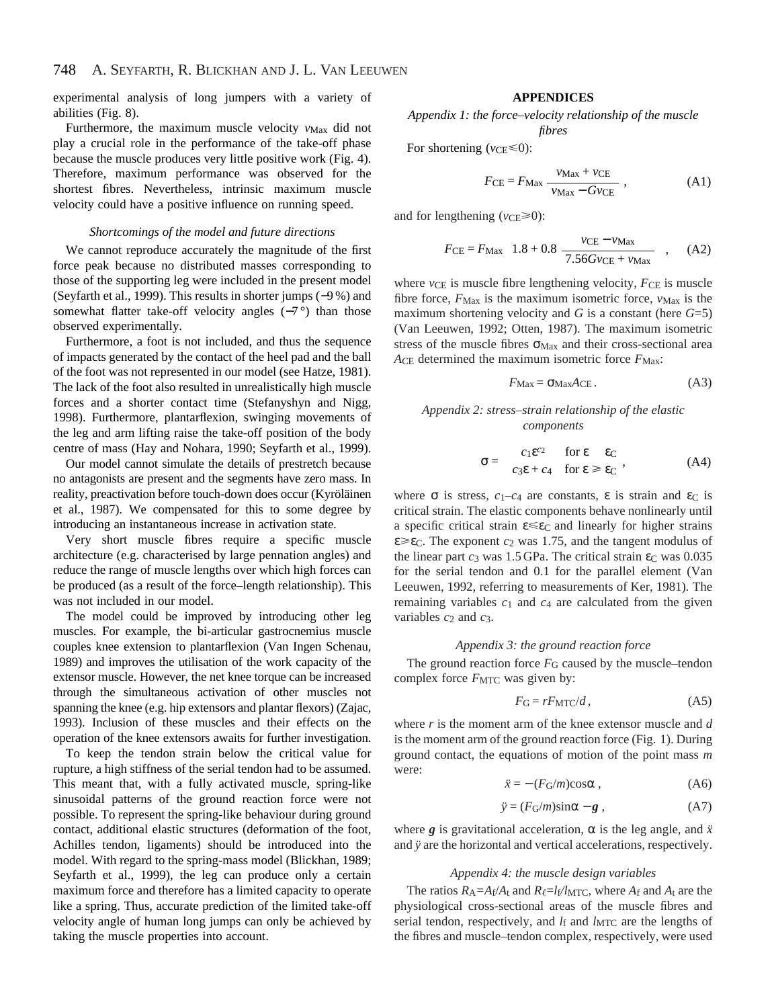experimental analysis of long jumpers with a variety of abilities (Fig. 8).

Furthermore, the maximum muscle velocity  $v_{\text{Max}}$  did not play a crucial role in the performance of the take-off phase because the muscle produces very little positive work (Fig. 4). Therefore, maximum performance was observed for the shortest fibres. Nevertheless, intrinsic maximum muscle velocity could have a positive influence on running speed.

## *Shortcomings of the model and future directions*

We cannot reproduce accurately the magnitude of the first force peak because no distributed masses corresponding to those of the supporting leg were included in the present model (Seyfarth et al., 1999). This results in shorter jumps (−9 %) and somewhat flatter take-off velocity angles (-7°) than those observed experimentally.

Furthermore, a foot is not included, and thus the sequence of impacts generated by the contact of the heel pad and the ball of the foot was not represented in our model (see Hatze, 1981). The lack of the foot also resulted in unrealistically high muscle forces and a shorter contact time (Stefanyshyn and Nigg, 1998). Furthermore, plantarflexion, swinging movements of the leg and arm lifting raise the take-off position of the body centre of mass (Hay and Nohara, 1990; Seyfarth et al., 1999).

Our model cannot simulate the details of prestretch because no antagonists are present and the segments have zero mass. In reality, preactivation before touch-down does occur (Kyröläinen et al., 1987). We compensated for this to some degree by introducing an instantaneous increase in activation state.

Very short muscle fibres require a specific muscle architecture (e.g. characterised by large pennation angles) and reduce the range of muscle lengths over which high forces can be produced (as a result of the force–length relationship). This was not included in our model.

The model could be improved by introducing other leg muscles. For example, the bi-articular gastrocnemius muscle couples knee extension to plantarflexion (Van Ingen Schenau, 1989) and improves the utilisation of the work capacity of the extensor muscle. However, the net knee torque can be increased through the simultaneous activation of other muscles not spanning the knee (e.g. hip extensors and plantar flexors) (Zajac, 1993). Inclusion of these muscles and their effects on the operation of the knee extensors awaits for further investigation.

To keep the tendon strain below the critical value for rupture, a high stiffness of the serial tendon had to be assumed. This meant that, with a fully activated muscle, spring-like sinusoidal patterns of the ground reaction force were not possible. To represent the spring-like behaviour during ground contact, additional elastic structures (deformation of the foot, Achilles tendon, ligaments) should be introduced into the model. With regard to the spring-mass model (Blickhan, 1989; Seyfarth et al., 1999), the leg can produce only a certain maximum force and therefore has a limited capacity to operate like a spring. Thus, accurate prediction of the limited take-off velocity angle of human long jumps can only be achieved by taking the muscle properties into account.

# **APPENDICES**

*Appendix 1: the force–velocity relationship of the muscle fibres*

For shortening  $(v_{CE} \le 0)$ :

$$
F_{\rm CE} = F_{\rm Max} \frac{v_{\rm Max} + v_{\rm CE}}{v_{\rm Max} - Gv_{\rm CE}} \,, \tag{A1}
$$

and for lengthening ( $v_{\text{CE}} \ge 0$ ):

$$
F_{\rm CE} = F_{\rm Max} \left( 1.8 + 0.8 \frac{v_{\rm CE} - v_{\rm Max}}{7.56 G v_{\rm CE} + v_{\rm Max}} \right), \quad \text{(A2)}
$$

where *v*CE is muscle fibre lengthening velocity,  $F$ CE is muscle fibre force,  $F_{\text{Max}}$  is the maximum isometric force,  $v_{\text{Max}}$  is the maximum shortening velocity and *G* is a constant (here *G*=5) (Van Leeuwen, 1992; Otten, 1987). The maximum isometric stress of the muscle fibres  $\sigma_{\text{Max}}$  and their cross-sectional area ACE determined the maximum isometric force  $F_{\text{Max}}$ :

$$
F_{\text{Max}} = \sigma_{\text{Max}} A_{\text{CE}}.
$$
 (A3)

# *Appendix 2: stress–strain relationship of the elastic components*

$$
\sigma = \begin{cases} c_1 \varepsilon^{c_2} & \text{for } \varepsilon \quad \varepsilon_{\text{C}} \\ c_3 \varepsilon + c_4 & \text{for } \varepsilon \geq \varepsilon_{\text{C}} \end{cases}, \tag{A4}
$$

where  $\sigma$  is stress,  $c_1-c_4$  are constants,  $\varepsilon$  is strain and  $\varepsilon_c$  is critical strain. The elastic components behave nonlinearly until a specific critical strain  $\epsilon \leq \epsilon_C$  and linearly for higher strains  $\varepsilon \geq \varepsilon$ <sub>C</sub>. The exponent  $c_2$  was 1.75, and the tangent modulus of the linear part  $c_3$  was 1.5 GPa. The critical strain  $\varepsilon_c$  was 0.035 for the serial tendon and 0.1 for the parallel element (Van Leeuwen, 1992, referring to measurements of Ker, 1981)*.* The remaining variables  $c_1$  and  $c_4$  are calculated from the given variables  $c_2$  and  $c_3$ .

### *Appendix 3: the ground reaction force*

The ground reaction force  $F_G$  caused by the muscle–tendon complex force  $F_{\text{MTC}}$  was given by:

$$
F_{\rm G} = rF_{\rm MTC}/d\,,\tag{A5}
$$

where *r* is the moment arm of the knee extensor muscle and *d* is the moment arm of the ground reaction force (Fig. 1). During ground contact, the equations of motion of the point mass *m* were:

$$
\ddot{x} = -(F_{\rm G}/m)\cos\alpha\,,\tag{A6}
$$

$$
\ddot{y} = (F_{\rm G}/m)\sin\alpha - g \; , \tag{A7}
$$

where **g** is gravitational acceleration,  $\alpha$  is the leg angle, and  $\ddot{x}$ and *y* are the horizontal and vertical accelerations, respectively.

### *Appendix 4: the muscle design variables*

The ratios  $R_A = A_f/A_t$  and  $R_f = l_f/l_{MTC}$ , where  $A_f$  and  $A_t$  are the physiological cross-sectional areas of the muscle fibres and serial tendon, respectively, and *l*f and *lMTC* are the lengths of the fibres and muscle–tendon complex, respectively, were used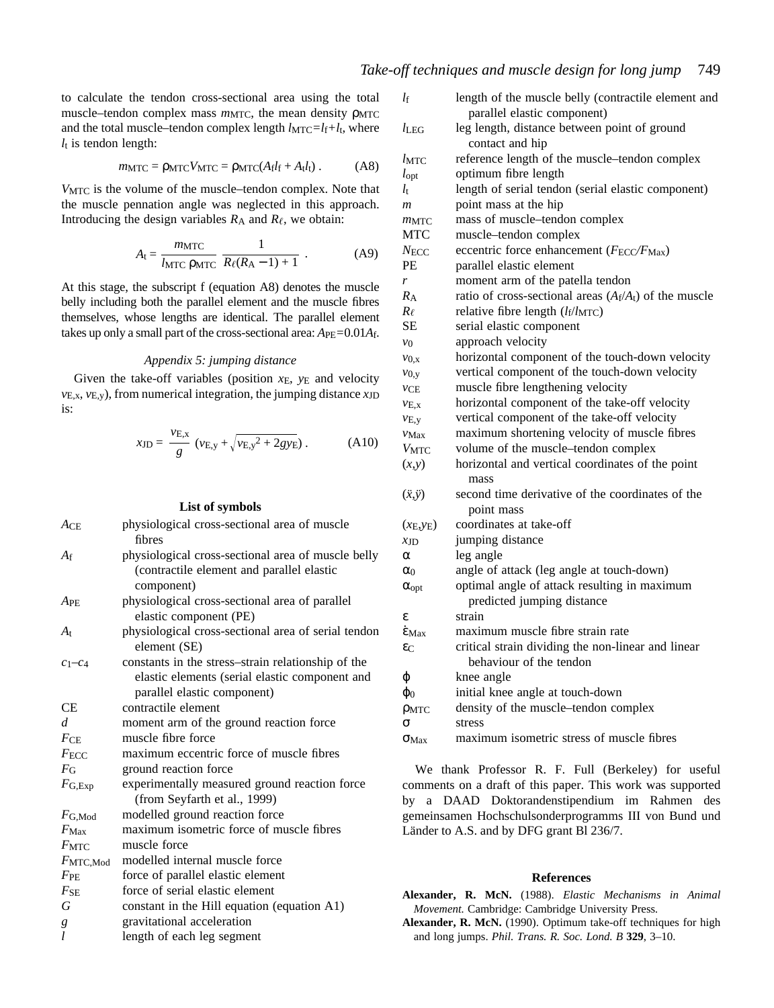to calculate the tendon cross-sectional area using the total muscle–tendon complex mass  $m_{\text{MTC}}$ , the mean density ρ<sub>MTC</sub> and the total muscle–tendon complex length  $l_{\text{MTC}}=l_f+l_t$ , where  $l_t$  is tendon length:

$$
m_{\text{MTC}} = \rho_{\text{MTC}} V_{\text{MTC}} = \rho_{\text{MTC}} (A_{\text{f}} l_{\text{f}} + A_{\text{t}} l_{\text{t}}) \,. \tag{A8}
$$

*V*MTC is the volume of the muscle–tendon complex. Note that the muscle pennation angle was neglected in this approach. Introducing the design variables  $R_A$  and  $R_\ell$ , we obtain:

$$
A_{t} = \frac{m_{\text{MTC}}}{l_{\text{MTC}} \rho_{\text{MTC}}} \frac{1}{R_{\ell}(R_{\text{A}} - 1) + 1} \tag{A9}
$$

At this stage, the subscript f (equation A8) denotes the muscle belly including both the parallel element and the muscle fibres themselves, whose lengths are identical. The parallel element takes up only a small part of the cross-sectional area: *A*PE*=*0.01*A*f.

# *Appendix 5: jumping distance*

Given the take-off variables (position *x*<sub>E</sub>, *y*<sub>E</sub> and velocity *v*E,x, *v*E,y), from numerical integration, the jumping distance *x*JD is:

$$
x_{\text{JD}} = \frac{v_{\text{E},x}}{g} \left( v_{\text{E},y} + \sqrt{v_{\text{E},y}^2 + 2gy_{\text{E}}} \right). \tag{A10}
$$

## **List of symbols**

| ACE                | physiological cross-sectional area of muscle<br>fibres                                                                              |
|--------------------|-------------------------------------------------------------------------------------------------------------------------------------|
| Af                 | physiological cross-sectional area of muscle belly<br>(contractile element and parallel elastic<br>component)                       |
| $A$ PE             | physiological cross-sectional area of parallel<br>elastic component (PE)                                                            |
| $A_{t}$            | physiological cross-sectional area of serial tendon<br>element (SE)                                                                 |
| $C1-C4$            | constants in the stress-strain relationship of the<br>elastic elements (serial elastic component and<br>parallel elastic component) |
| СE                 | contractile element                                                                                                                 |
| d                  | moment arm of the ground reaction force                                                                                             |
| FCE                | muscle fibre force                                                                                                                  |
| $F_{\text{ECC}}$   | maximum eccentric force of muscle fibres                                                                                            |
| $F_{\rm G}$        | ground reaction force                                                                                                               |
| $F_{\text{G,Exp}}$ | experimentally measured ground reaction force<br>(from Seyfarth et al., 1999)                                                       |
| $F_{G,Mod}$        | modelled ground reaction force                                                                                                      |
| $F_{\text{Max}}$   | maximum isometric force of muscle fibres                                                                                            |
| $F$ MTC            | muscle force                                                                                                                        |
| $F$ MTC,Mod        | modelled internal muscle force                                                                                                      |
| $F_{\mathrm{PE}}$  | force of parallel elastic element                                                                                                   |
| FSE                | force of serial elastic element                                                                                                     |
| G                  | constant in the Hill equation (equation A1)                                                                                         |
| g                  | gravitational acceleration                                                                                                          |
| $\iota$            | length of each leg segment                                                                                                          |

| $l_{\rm f}$                       | length of the muscle belly (contractile element and                        |
|-----------------------------------|----------------------------------------------------------------------------|
|                                   | parallel elastic component)                                                |
| $l_{\rm LEG}$                     | leg length, distance between point of ground                               |
|                                   | contact and hip                                                            |
| $l$ MTC                           | reference length of the muscle-tendon complex                              |
| $l_{\text{opt}}$                  | optimum fibre length                                                       |
| $l_{\rm t}$                       | length of serial tendon (serial elastic component)                         |
| m                                 | point mass at the hip                                                      |
| m <sub>MTC</sub>                  | mass of muscle-tendon complex                                              |
| <b>MTC</b>                        | muscle-tendon complex                                                      |
| $N_{\text{ECC}}$                  | eccentric force enhancement ( $F_{\text{ECC}}/F_{\text{Max}}$ )            |
| PE                                | parallel elastic element                                                   |
| r                                 | moment arm of the patella tendon                                           |
| $R_{\rm A}$                       | ratio of cross-sectional areas $(A_f/A_t)$ of the muscle                   |
| $R_{\ell}$                        | relative fibre length $(l_f/l_{\text{MTC}})$                               |
| SЕ                                | serial elastic component                                                   |
| $v_0$                             | approach velocity                                                          |
| $v_{0,x}$                         | horizontal component of the touch-down velocity                            |
| $v_{0,y}$                         | vertical component of the touch-down velocity                              |
| vCE                               | muscle fibre lengthening velocity                                          |
| $v_{E,x}$                         | horizontal component of the take-off velocity                              |
| $v_{E,y}$                         | vertical component of the take-off velocity                                |
| $V$ Max                           | maximum shortening velocity of muscle fibres                               |
| $V_{\rm MTC}$                     | volume of the muscle-tendon complex                                        |
| (x,y)                             | horizontal and vertical coordinates of the point                           |
|                                   | mass                                                                       |
| $(\ddot{x}, \ddot{y})$            | second time derivative of the coordinates of the                           |
|                                   | point mass                                                                 |
| (x <sub>E</sub> ,y <sub>E</sub> ) | coordinates at take-off                                                    |
| XJD                               | jumping distance                                                           |
| α                                 | leg angle                                                                  |
| $\alpha_0$                        | angle of attack (leg angle at touch-down)                                  |
| $\alpha_{opt}$                    | optimal angle of attack resulting in maximum<br>predicted jumping distance |
| ε                                 | strain                                                                     |
| $\dot{\epsilon}$ Max              | maximum muscle fibre strain rate                                           |
| $\varepsilon$ C                   | critical strain dividing the non-linear and linear                         |
|                                   | behaviour of the tendon                                                    |
| φ                                 | knee angle                                                                 |
| $\varphi_0$                       | initial knee angle at touch-down                                           |
| $\rho$ <sub>MTC</sub>             | density of the muscle-tendon complex                                       |
| σ                                 | stress                                                                     |
| $\sigma_{\text{Max}}$             | maximum isometric stress of muscle fibres                                  |
|                                   |                                                                            |
|                                   |                                                                            |

We thank Professor R. F. Full (Berkeley) for useful comments on a draft of this paper. This work was supported by a DAAD Doktorandenstipendium im Rahmen des gemeinsamen Hochschulsonderprogramms III von Bund und Länder to A.S. and by DFG grant Bl 236/7.

## **References**

- **Alexander, R. McN.** (1988). *Elastic Mechanisms in Animal Movement.* Cambridge: Cambridge University Press*.*
- **Alexander, R. McN.** (1990). Optimum take-off techniques for high and long jumps. *Phil. Trans. R. Soc. Lond. B* **329**, 3–10.